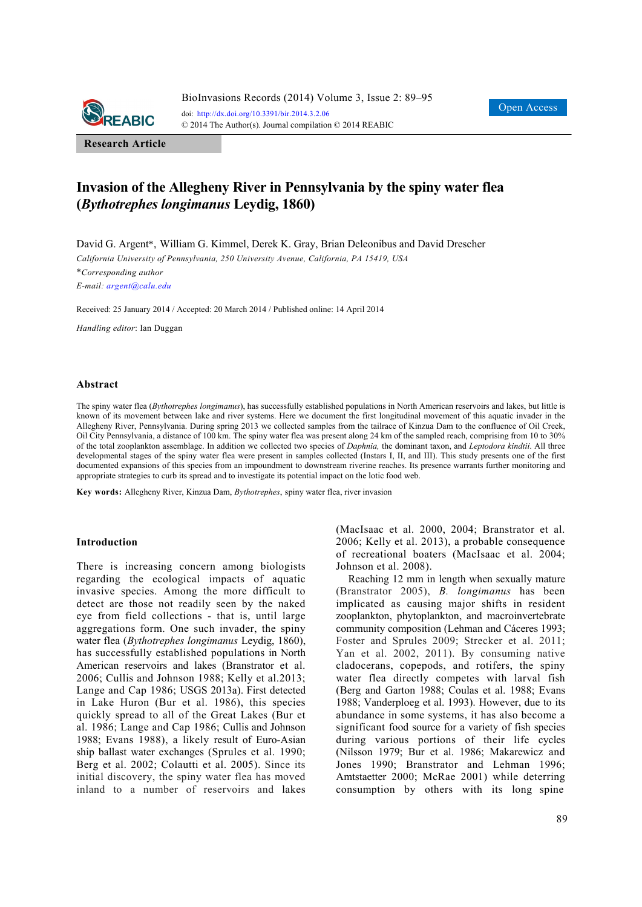

**Research Article**

# **Invasion of the Allegheny River in Pennsylvania by the spiny water flea (***Bythotrephes longimanus* **Leydig, 1860)**

David G. Argent\*, William G. Kimmel, Derek K. Gray, Brian Deleonibus and David Drescher

*California University of Pennsylvania, 250 University Avenue, California, PA 15419, USA* 

\**Corresponding author E-mail: argent@calu.edu*

Received: 25 January 2014 / Accepted: 20 March 2014 / Published online: 14 April 2014

*Handling editor*: Ian Duggan

### **Abstract**

The spiny water flea (*Bythotrephes longimanus*), has successfully established populations in North American reservoirs and lakes, but little is known of its movement between lake and river systems. Here we document the first longitudinal movement of this aquatic invader in the Allegheny River, Pennsylvania. During spring 2013 we collected samples from the tailrace of Kinzua Dam to the confluence of Oil Creek, Oil City Pennsylvania, a distance of 100 km. The spiny water flea was present along 24 km of the sampled reach, comprising from 10 to 30% of the total zooplankton assemblage. In addition we collected two species of *Daphnia,* the dominant taxon, and *Leptodora kindtii*. All three developmental stages of the spiny water flea were present in samples collected (Instars I, II, and III). This study presents one of the first documented expansions of this species from an impoundment to downstream riverine reaches. Its presence warrants further monitoring and appropriate strategies to curb its spread and to investigate its potential impact on the lotic food web.

**Key words:** Allegheny River, Kinzua Dam, *Bythotrephes*, spiny water flea, river invasion

### **Introduction**

There is increasing concern among biologists regarding the ecological impacts of aquatic invasive species. Among the more difficult to detect are those not readily seen by the naked eye from field collections - that is, until large aggregations form. One such invader, the spiny water flea (*Bythotrephes longimanus* Leydig, 1860), has successfully established populations in North American reservoirs and lakes (Branstrator et al. 2006; Cullis and Johnson 1988; Kelly et al.2013; Lange and Cap 1986; USGS 2013a). First detected in Lake Huron (Bur et al. 1986), this species quickly spread to all of the Great Lakes (Bur et al. 1986; Lange and Cap 1986; Cullis and Johnson 1988; Evans 1988), a likely result of Euro-Asian ship ballast water exchanges (Sprules et al. 1990; Berg et al. 2002; Colautti et al. 2005). Since its initial discovery, the spiny water flea has moved inland to a number of reservoirs and lakes (MacIsaac et al. 2000, 2004; Branstrator et al. 2006; Kelly et al. 2013), a probable consequence of recreational boaters (MacIsaac et al. 2004; Johnson et al. 2008).

Reaching 12 mm in length when sexually mature (Branstrator 2005), *B. longimanus* has been implicated as causing major shifts in resident zooplankton, phytoplankton, and macroinvertebrate community composition (Lehman and Cáceres 1993; Foster and Sprules 2009; Strecker et al. 2011; Yan et al. 2002, 2011). By consuming native cladocerans, copepods, and rotifers, the spiny water flea directly competes with larval fish (Berg and Garton 1988; Coulas et al. 1988; Evans 1988; Vanderploeg et al. 1993). However, due to its abundance in some systems, it has also become a significant food source for a variety of fish species during various portions of their life cycles (Nilsson 1979; Bur et al. 1986; Makarewicz and Jones 1990; Branstrator and Lehman 1996; Amtstaetter 2000; McRae 2001) while deterring consumption by others with its long spine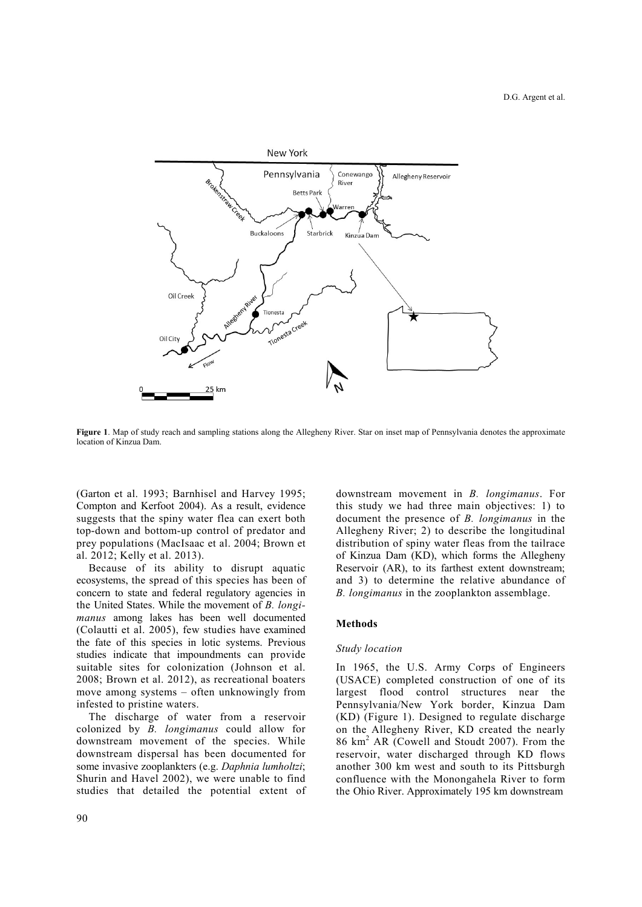

**Figure 1**. Map of study reach and sampling stations along the Allegheny River. Star on inset map of Pennsylvania denotes the approximate location of Kinzua Dam.

(Garton et al. 1993; Barnhisel and Harvey 1995; Compton and Kerfoot 2004). As a result, evidence suggests that the spiny water flea can exert both top-down and bottom-up control of predator and prey populations (MacIsaac et al. 2004; Brown et al. 2012; Kelly et al. 2013).

Because of its ability to disrupt aquatic ecosystems, the spread of this species has been of concern to state and federal regulatory agencies in the United States. While the movement of *B. longimanus* among lakes has been well documented (Colautti et al. 2005), few studies have examined the fate of this species in lotic systems. Previous studies indicate that impoundments can provide suitable sites for colonization (Johnson et al. 2008; Brown et al. 2012), as recreational boaters move among systems – often unknowingly from infested to pristine waters.

The discharge of water from a reservoir colonized by *B. longimanus* could allow for downstream movement of the species. While downstream dispersal has been documented for some invasive zooplankters (e.g. *Daphnia lumholtzi*; Shurin and Havel 2002), we were unable to find studies that detailed the potential extent of downstream movement in *B. longimanus*. For this study we had three main objectives: 1) to document the presence of *B. longimanus* in the Allegheny River; 2) to describe the longitudinal distribution of spiny water fleas from the tailrace of Kinzua Dam (KD), which forms the Allegheny Reservoir (AR), to its farthest extent downstream; and 3) to determine the relative abundance of *B. longimanus* in the zooplankton assemblage.

### **Methods**

### *Study location*

In 1965, the U.S. Army Corps of Engineers (USACE) completed construction of one of its largest flood control structures near the Pennsylvania/New York border, Kinzua Dam (KD) (Figure 1). Designed to regulate discharge on the Allegheny River, KD created the nearly 86 km<sup>2</sup> AR (Cowell and Stoudt 2007). From the reservoir, water discharged through KD flows another 300 km west and south to its Pittsburgh confluence with the Monongahela River to form the Ohio River. Approximately 195 km downstream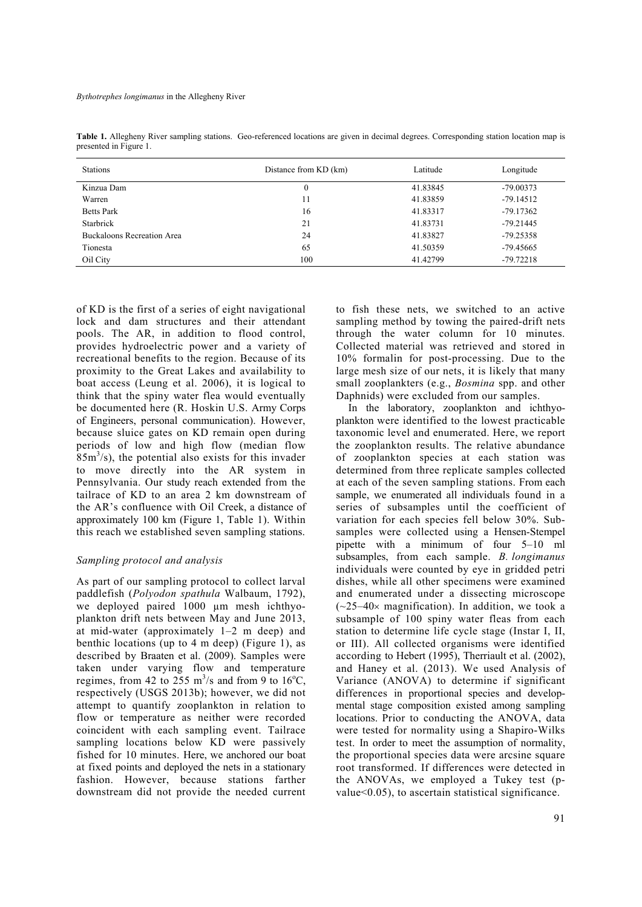| <b>Stations</b>                   | Distance from KD (km) | Latitude | Longitude   |
|-----------------------------------|-----------------------|----------|-------------|
| Kinzua Dam                        |                       | 41.83845 | $-79.00373$ |
| Warren                            | 11                    | 41.83859 | $-79.14512$ |
| <b>Betts Park</b>                 | 16                    | 41.83317 | $-79.17362$ |
| Starbrick                         | 21                    | 41.83731 | $-79.21445$ |
| <b>Buckaloons Recreation Area</b> | 24                    | 41.83827 | $-79.25358$ |
| Tionesta                          | 65                    | 41.50359 | -79.45665   |
| Oil City                          | 100                   | 41.42799 | $-79.72218$ |

**Table 1.** Allegheny River sampling stations. Geo-referenced locations are given in decimal degrees. Corresponding station location map is presented in Figure 1.

of KD is the first of a series of eight navigational lock and dam structures and their attendant pools. The AR, in addition to flood control, provides hydroelectric power and a variety of recreational benefits to the region. Because of its proximity to the Great Lakes and availability to boat access (Leung et al. 2006), it is logical to think that the spiny water flea would eventually be documented here (R. Hoskin U.S. Army Corps of Engineers, personal communication). However, because sluice gates on KD remain open during periods of low and high flow (median flow  $85m<sup>3</sup>/s$ ), the potential also exists for this invader to move directly into the AR system in Pennsylvania. Our study reach extended from the tailrace of KD to an area 2 km downstream of the AR's confluence with Oil Creek, a distance of approximately 100 km (Figure 1, Table 1). Within this reach we established seven sampling stations.

## *Sampling protocol and analysis*

As part of our sampling protocol to collect larval paddlefish (*Polyodon spathula* Walbaum, 1792), we deployed paired 1000 µm mesh ichthyoplankton drift nets between May and June 2013, at mid-water (approximately 1–2 m deep) and benthic locations (up to 4 m deep) (Figure 1), as described by Braaten et al. (2009). Samples were taken under varying flow and temperature regimes, from 42 to 255 m<sup>3</sup>/s and from 9 to 16<sup>o</sup>C, respectively (USGS 2013b); however, we did not attempt to quantify zooplankton in relation to flow or temperature as neither were recorded coincident with each sampling event. Tailrace sampling locations below KD were passively fished for 10 minutes. Here, we anchored our boat at fixed points and deployed the nets in a stationary fashion. However, because stations farther downstream did not provide the needed current

to fish these nets, we switched to an active sampling method by towing the paired-drift nets through the water column for 10 minutes. Collected material was retrieved and stored in 10% formalin for post-processing. Due to the large mesh size of our nets, it is likely that many small zooplankters (e.g., *Bosmina* spp. and other Daphnids) were excluded from our samples.

In the laboratory, zooplankton and ichthyoplankton were identified to the lowest practicable taxonomic level and enumerated. Here, we report the zooplankton results. The relative abundance of zooplankton species at each station was determined from three replicate samples collected at each of the seven sampling stations. From each sample, we enumerated all individuals found in a series of subsamples until the coefficient of variation for each species fell below 30%. Subsamples were collected using a Hensen-Stempel pipette with a minimum of four 5–10 ml subsamples, from each sample. *B. longimanus* individuals were counted by eye in gridded petri dishes, while all other specimens were examined and enumerated under a dissecting microscope  $(-25-40 \times$  magnification). In addition, we took a subsample of 100 spiny water fleas from each station to determine life cycle stage (Instar I, II, or III). All collected organisms were identified according to Hebert (1995), Therriault et al. (2002), and Haney et al. (2013). We used Analysis of Variance (ANOVA) to determine if significant differences in proportional species and developmental stage composition existed among sampling locations. Prior to conducting the ANOVA, data were tested for normality using a Shapiro-Wilks test. In order to meet the assumption of normality, the proportional species data were arcsine square root transformed. If differences were detected in the ANOVAs, we employed a Tukey test (pvalue<0.05), to ascertain statistical significance.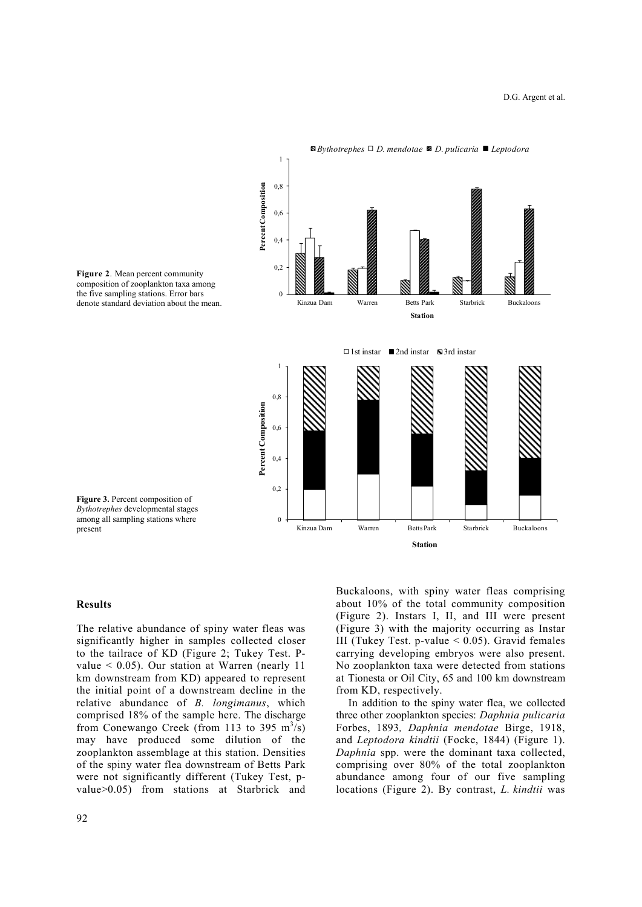

**Figure 2**. Mean percent community composition of zooplankton taxa among the five sampling stations. Error bars denote standard deviation about the mean.

**Figure 3.** Percent composition of *Bythotrephes* developmental stages among all sampling stations where present

### **Results**

The relative abundance of spiny water fleas was significantly higher in samples collected closer to the tailrace of KD (Figure 2; Tukey Test. Pvalue < 0.05). Our station at Warren (nearly 11 km downstream from KD) appeared to represent the initial point of a downstream decline in the relative abundance of *B. longimanus*, which comprised 18% of the sample here. The discharge from Conewango Creek (from 113 to 395  $\text{m}^3\text{/s}$ ) may have produced some dilution of the zooplankton assemblage at this station. Densities of the spiny water flea downstream of Betts Park were not significantly different (Tukey Test, pvalue>0.05) from stations at Starbrick and

Buckaloons, with spiny water fleas comprising about 10% of the total community composition (Figure 2). Instars I, II, and III were present (Figure 3) with the majority occurring as Instar III (Tukey Test. p-value  $< 0.05$ ). Gravid females carrying developing embryos were also present. No zooplankton taxa were detected from stations at Tionesta or Oil City, 65 and 100 km downstream from KD, respectively.

In addition to the spiny water flea, we collected three other zooplankton species: *Daphnia pulicaria* Forbes, 1893*, Daphnia mendotae* Birge, 1918, and *Leptodora kindtii* (Focke, 1844) (Figure 1). *Daphnia* spp. were the dominant taxa collected, comprising over 80% of the total zooplankton abundance among four of our five sampling locations (Figure 2). By contrast, *L. kindtii* was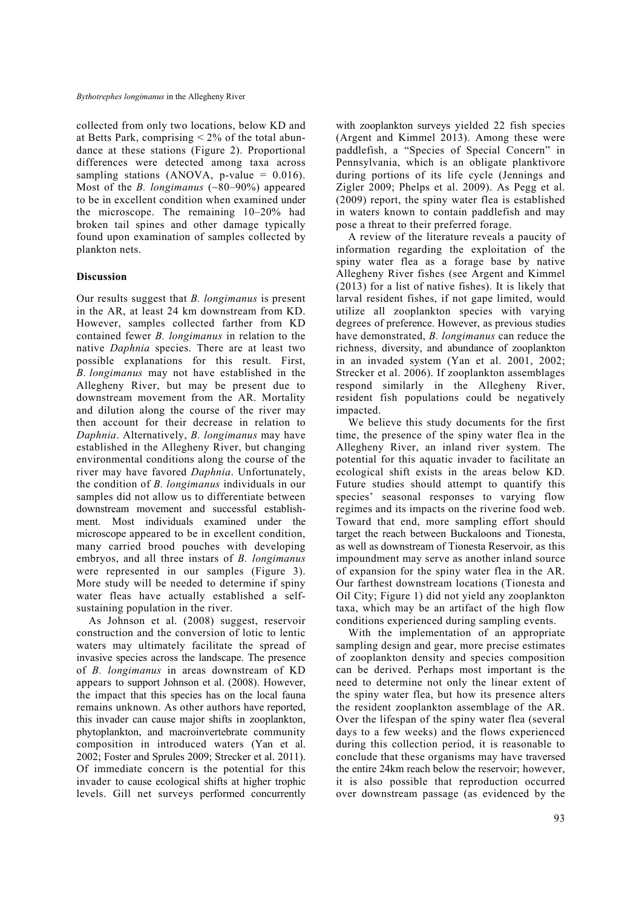collected from only two locations, below KD and at Betts Park, comprising  $\leq 2\%$  of the total abundance at these stations (Figure 2). Proportional differences were detected among taxa across sampling stations (ANOVA, p-value =  $0.016$ ). Most of the *B. longimanus* (~80–90%) appeared to be in excellent condition when examined under the microscope. The remaining 10–20% had broken tail spines and other damage typically found upon examination of samples collected by plankton nets.

### **Discussion**

Our results suggest that *B. longimanus* is present in the AR, at least 24 km downstream from KD. However, samples collected farther from KD contained fewer *B. longimanus* in relation to the native *Daphnia* species. There are at least two possible explanations for this result. First, *B. longimanus* may not have established in the Allegheny River, but may be present due to downstream movement from the AR. Mortality and dilution along the course of the river may then account for their decrease in relation to *Daphnia*. Alternatively, *B. longimanus* may have established in the Allegheny River, but changing environmental conditions along the course of the river may have favored *Daphnia*. Unfortunately, the condition of *B. longimanus* individuals in our samples did not allow us to differentiate between downstream movement and successful establishment. Most individuals examined under the microscope appeared to be in excellent condition, many carried brood pouches with developing embryos, and all three instars of *B. longimanus* were represented in our samples (Figure 3). More study will be needed to determine if spiny water fleas have actually established a selfsustaining population in the river.

As Johnson et al. (2008) suggest, reservoir construction and the conversion of lotic to lentic waters may ultimately facilitate the spread of invasive species across the landscape. The presence of *B. longimanus* in areas downstream of KD appears to support Johnson et al. (2008). However, the impact that this species has on the local fauna remains unknown. As other authors have reported, this invader can cause major shifts in zooplankton, phytoplankton, and macroinvertebrate community composition in introduced waters (Yan et al. 2002; Foster and Sprules 2009; Strecker et al. 2011). Of immediate concern is the potential for this invader to cause ecological shifts at higher trophic levels. Gill net surveys performed concurrently with zooplankton surveys vielded 22 fish species (Argent and Kimmel 2013). Among these were paddlefish, a "Species of Special Concern" in Pennsylvania, which is an obligate planktivore during portions of its life cycle (Jennings and Zigler 2009; Phelps et al. 2009). As Pegg et al. (2009) report, the spiny water flea is established in waters known to contain paddlefish and may pose a threat to their preferred forage.

A review of the literature reveals a paucity of information regarding the exploitation of the spiny water flea as a forage base by native Allegheny River fishes (see Argent and Kimmel (2013) for a list of native fishes). It is likely that larval resident fishes, if not gape limited, would utilize all zooplankton species with varying degrees of preference. However, as previous studies have demonstrated, *B. longimanus* can reduce the richness, diversity, and abundance of zooplankton in an invaded system (Yan et al. 2001, 2002; Strecker et al. 2006). If zooplankton assemblages respond similarly in the Allegheny River, resident fish populations could be negatively impacted.

We believe this study documents for the first time, the presence of the spiny water flea in the Allegheny River, an inland river system. The potential for this aquatic invader to facilitate an ecological shift exists in the areas below KD. Future studies should attempt to quantify this species' seasonal responses to varying flow regimes and its impacts on the riverine food web. Toward that end, more sampling effort should target the reach between Buckaloons and Tionesta, as well as downstream of Tionesta Reservoir, as this impoundment may serve as another inland source of expansion for the spiny water flea in the AR. Our farthest downstream locations (Tionesta and Oil City; Figure 1) did not yield any zooplankton taxa, which may be an artifact of the high flow conditions experienced during sampling events.

With the implementation of an appropriate sampling design and gear, more precise estimates of zooplankton density and species composition can be derived. Perhaps most important is the need to determine not only the linear extent of the spiny water flea, but how its presence alters the resident zooplankton assemblage of the AR. Over the lifespan of the spiny water flea (several days to a few weeks) and the flows experienced during this collection period, it is reasonable to conclude that these organisms may have traversed the entire 24km reach below the reservoir; however, it is also possible that reproduction occurred over downstream passage (as evidenced by the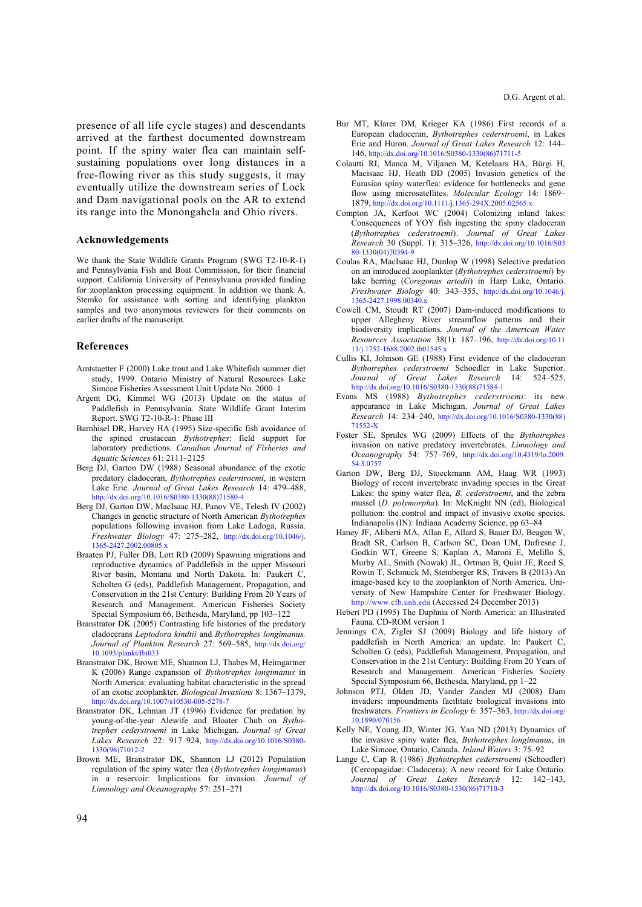presence of all life cycle stages) and descendants arrived at the farthest documented downstream point. If the spiny water flea can maintain selfsustaining populations over long distances in a free-flowing river as this study suggests, it may eventually utilize the downstream series of Lock and Dam navigational pools on the AR to extend its range into the Monongahela and Ohio rivers.

### **Acknowledgements**

We thank the State Wildlife Grants Program (SWG T2-10-R-1) and Pennsylvania Fish and Boat Commission, for their financial support. California University of Pennsylvania provided funding for zooplankton processing equipment. In addition we thank A. Stemko for assistance with sorting and identifying plankton samples and two anonymous reviewers for their comments on earlier drafts of the manuscript.

#### **References**

- Amtstaetter F (2000) Lake trout and Lake Whitefish summer diet study, 1999. Ontario Ministry of Natural Resources Lake Simcoe Fisheries Assessment Unit Update No. 2000–1
- Argent DG, Kimmel WG (2013) Update on the status of Paddlefish in Pennsylvania. State Wildlife Grant Interim Report. SWG T2-10-R-1: Phase III
- Barnhisel DR, Harvey HA (1995) Size-specific fish avoidance of the spined crustacean *Bythotrephes*: field support for laboratory predictions. *Canadian Journal of Fisheries and Aquatic Sciences* 61: 2111–2125
- Berg DJ, Garton DW (1988) Seasonal abundance of the exotic predatory cladoceran, *Bythotrephes cederstroemi*, in western Lake Erie. *Journal of Great Lakes Research* 14: 479–488, http://dx.doi.org/10.1016/S0380-1330(88)71580-4
- Berg DJ, Garton DW, MacIsaac HJ, Panov VE, Telesh IV (2002) Changes in genetic structure of North American *Bythotrephes*  populations following invasion from Lake Ladoga, Russia. *Freshwater Biology* 47: 275–282, http://dx.doi.org/10.1046/j. 1365-2427.2002.00805.x
- Braaten PJ, Fuller DB, Lott RD (2009) Spawning migrations and reproductive dynamics of Paddlefish in the upper Missouri River basin, Montana and North Dakota. In: Paukert C, Scholten G (eds), Paddlefish Management, Propagation, and Conservation in the 21st Century: Building From 20 Years of Research and Management. American Fisheries Society Special Symposium 66, Bethesda, Maryland, pp 103–122
- Branstrator DK (2005) Contrasting life histories of the predatory cladocerans *Leptodora kindtii* and *Bythotrephes longimanus. Journal of Plankton Research* 27: 569–585, http://dx.doi.org/ 10.1093/plankt/fbi033
- Branstrator DK, Brown ME, Shannon LJ, Thabes M, Heimgartner K (2006) Range expansion of *Bythotrephes longimanus* in North America: evaluating habitat characteristic in the spread of an exotic zooplankter. *Biological Invasions* 8: 1367–1379, http://dx.doi.org/10.1007/s10530-005-5278-7
- Branstrator DK, Lehman JT (1996) Evidence for predation by young-of-the-year Alewife and Bloater Chub on *Bythotrephes cederstroemi* in Lake Michigan. *Journal of Great Lakes Research* 22: 917–924, http://dx.doi.org/10.1016/S0380- 1330(96)71012-2
- Brown ME, Branstrator DK, Shannon LJ (2012) Population regulation of the spiny water flea (*Bythotrephes longimanus*) in a reservoir: Implications for invasion. *Journal of Limnology and Oceanography* 57: 251–271
- Bur MT, Klarer DM, Krieger KA (1986) First records of a European cladoceran, *Bythotrephes cederstroemi*, in Lakes Erie and Huron. *Journal of Great Lakes Research* 12: 144– 146, http://dx.doi.org/10.1016/S0380-1330(86)71711-5
- Colautti RI, Manca M, Viljanen M, Ketelaars HA, Bürgi H, Macisaac HJ, Heath DD (2005) Invasion genetics of the Eurasian spiny waterflea: evidence for bottlenecks and gene flow using microsatellites. *Molecular Ecology* 14: 1869– 1879, http://dx.doi.org/10.1111/j.1365-294X.2005.02565.x
- Compton JA, Kerfoot WC (2004) Colonizing inland lakes: Consequences of YOY fish ingesting the spiny cladoceran (*Bythotrephes cederstroemi*). *Journal of Great Lakes Research* 30 (Suppl. 1): 315–326, http://dx.doi.org/10.1016/S03 80-1330(04)70394-9
- Coulas RA, MacIsaac HJ, Dunlop W (1998) Selective predation on an introduced zooplankter (*Bythotrephes cederstroemi*) by lake herring (*Coregonus artedii*) in Harp Lake, Ontario. *Freshwater Biology* 40: 343–355, http://dx.doi.org/10.1046/j. 1365-2427.1998.00340.x
- Cowell CM, Stoudt RT (2007) Dam-induced modifications to upper Allegheny River streamflow patterns and their biodiversity implications. *Journal of the American Water Resources Association* 38(1): 187–196, http://dx.doi.org/10.11 11/j.1752-1688.2002.tb01545.x
- Cullis KI, Johnson GE (1988) First evidence of the cladoceran *Bythotrephes cederstroemi* Schoedler in Lake Superior. *Journal of Great Lakes Research* 14: 524–525, http://dx.doi.org/10.1016/S0380-1330(88)71584-1
- Evans MS (1988) *Bythotrephes cederstroemi*: its new appearance in Lake Michigan. *Journal of Great Lakes Research* 14: 234–240, http://dx.doi.org/10.1016/S0380-1330(88) 71552-X
- Foster SE, Sprules WG (2009) Effects of the *Bythotrephes*  invasion on native predatory invertebrates. *Limnology and Oceanography* 54: 757–769, http://dx.doi.org/10.4319/lo.2009. 54.3.0757
- Garton DW, Berg DJ, Stoeckmann AM, Haag WR (1993) Biology of recent invertebrate invading species in the Great Lakes: the spiny water flea, *B. cederstroemi*, and the zebra mussel (*D. polymorpha*). In: McKnight NN (ed), Biological pollution: the control and impact of invasive exotic species. Indianapolis (IN): Indiana Academy Science, pp 63–84
- Haney JF, Aliberti MA, Allan E, Allard S, Bauer DJ, Beagen W, Bradt SR, Carlson B, Carlson SC, Doan UM, Dufresne J, Godkin WT, Greene S, Kaplan A, Maroni E, Melillo S, Murby AL, Smith (Nowak) JL, Ortman B, Quist JE, Reed S, Rowin T, Schmuck M, Stemberger RS, Travers B (2013) An image-based key to the zooplankton of North America. University of New Hampshire Center for Freshwater Biology. http://www.cfb.unh.edu (Accessed 24 December 2013)
- Hebert PD (1995) The Daphnia of North America: an Illustrated Fauna. CD-ROM version 1
- Jennings CA, Zigler SJ (2009) Biology and life history of paddlefish in North America: an update. In: Paukert C, Scholten G (eds), Paddlefish Management, Propagation, and Conservation in the 21st Century: Building From 20 Years of Research and Management. American Fisheries Society Special Symposium 66, Bethesda, Maryland, pp 1–22
- Johnson PTJ, Olden JD, Vander Zanden MJ (2008) Dam invaders: impoundments facilitate biological invasions into freshwaters. *Frontiers in Ecology* 6: 357–363, http://dx.doi.org/ 10.1890/070156
- Kelly NE, Young JD, Winter JG, Yan ND (2013) Dynamics of the invasive spiny water flea, *Bythotrephes longimanus*, in Lake Simcoe, Ontario, Canada. *Inland Waters* 3: 75–92
- Lange C, Cap R (1986) *Bythotrephes cederstroemi* (Schoedler) (Cercopagidae: Cladocera): A new record for Lake Ontario. *Journal of Great Lakes Research* 12: 142–143, http://dx.doi.org/10.1016/S0380-1330(86)71710-3